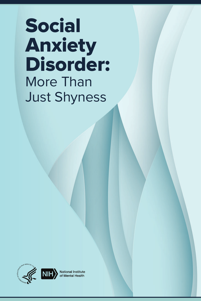# Social Anxiety Disorder: More Than Just Shyness





National Institute<br>of Mental Health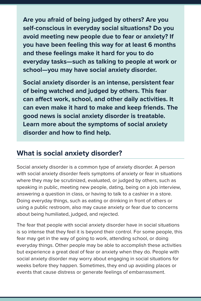**Are you afraid of being judged by others? Are you self-conscious in everyday social situations? Do you avoid meeting new people due to fear or anxiety? If you have been feeling this way for at least 6 months and these feelings make it hard for you to do everyday tasks—such as talking to people at work or school—you may have social anxiety disorder.**

**Social anxiety disorder is an intense, persistent fear of being watched and judged by others. This fear can affect work, school, and other daily activities. It can even make it hard to make and keep friends. The good news is social anxiety disorder is treatable. Learn more about the symptoms of social anxiety disorder and how to find help.**

## **What is social anxiety disorder?**

Social anxiety disorder is a common type of anxiety disorder. A person with social anxiety disorder feels symptoms of anxiety or fear in situations where they may be scrutinized, evaluated, or judged by others, such as speaking in public, meeting new people, dating, being on a job interview, answering a question in class, or having to talk to a cashier in a store. Doing everyday things, such as eating or drinking in front of others or using a public restroom, also may cause anxiety or fear due to concerns about being humiliated, judged, and rejected.

The fear that people with social anxiety disorder have in social situations is so intense that they feel it is beyond their control. For some people, this fear may get in the way of going to work, attending school, or doing everyday things. Other people may be able to accomplish these activities but experience a great deal of fear or anxiety when they do. People with social anxiety disorder may worry about engaging in social situations for weeks before they happen. Sometimes, they end up avoiding places or events that cause distress or generate feelings of embarrassment.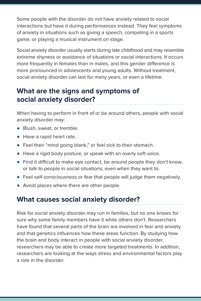Some people with the disorder do not have anxiety related to social interactions but have it during performances instead. They feel symptoms of anxiety in situations such as giving a speech, competing in a sports game, or playing a musical instrument on stage.

Social anxiety disorder usually starts during late childhood and may resemble extreme shyness or avoidance of situations or social interactions. It occurs more frequently in females than in males, and this gender difference is more pronounced in adolescents and young adults. Without treatment, social anxiety disorder can last for many years, or even a lifetime.

## **What are the signs and symptoms of social anxiety disorder?**

When having to perform in front of or be around others, people with social anxiety disorder may:

- Blush, sweat, or tremble.
- Have a rapid heart rate.
- Feel their "mind going blank," or feel sick to their stomach.
- Have a rigid body posture, or speak with an overly soft voice.
- Find it difficult to make eye contact, be around people they don't know, or talk to people in social situations, even when they want to.
- Feel self-consciousness or fear that people will judge them negatively.
- Avoid places where there are other people.

## **What causes social anxiety disorder?**

Risk for social anxiety disorder may run in families, but no one knows for sure why some family members have it while others don't. Researchers have found that several parts of the brain are involved in fear and anxiety and that genetics influences how these areas function. By studying how the brain and body interact in people with social anxiety disorder, researchers may be able to create more targeted treatments. In addition, researchers are looking at the ways stress and environmental factors play a role in the disorder.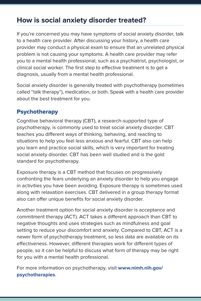## **How is social anxiety disorder treated?**

If you're concerned you may have symptoms of social anxiety disorder, talk to a health care provider. After discussing your history, a health care provider may conduct a physical exam to ensure that an unrelated physical problem is not causing your symptoms. A health care provider may refer you to a mental health professional, such as a psychiatrist, psychologist, or clinical social worker. The first step to effective treatment is to get a diagnosis, usually from a mental health professional.

Social anxiety disorder is generally treated with psychotherapy (sometimes called "talk therapy"), medication, or both. Speak with a health care provider about the best treatment for you.

#### Psychotherapy

Cognitive behavioral therapy (CBT), a research-supported type of psychotherapy, is commonly used to treat social anxiety disorder. CBT teaches you different ways of thinking, behaving, and reacting to situations to help you feel less anxious and fearful. CBT also can help you learn and practice social skills, which is very important for treating social anxiety disorder. CBT has been well studied and is the gold standard for psychotherapy.

Exposure therapy is a CBT method that focuses on progressively confronting the fears underlying an anxiety disorder to help you engage in activities you have been avoiding. Exposure therapy is sometimes used along with relaxation exercises. CBT delivered in a group therapy format also can offer unique benefits for social anxiety disorder.

Another treatment option for social anxiety disorder is acceptance and commitment therapy (ACT). ACT takes a different approach than CBT to negative thoughts and uses strategies such as mindfulness and goal setting to reduce your discomfort and anxiety. Compared to CBT, ACT is a newer form of psychotherapy treatment, so less data are available on its effectiveness. However, different therapies work for different types of people, so it can be helpful to discuss what form of therapy may be right for you with a mental health professional.

For more information on psychotherapy, visit **[www.nimh.nih.gov/](http://www.nimh.nih.gov/health/topics/psychotherapies) [psychotherapies](http://www.nimh.nih.gov/health/topics/psychotherapies)**.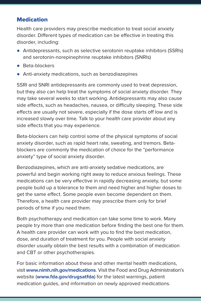#### **Medication**

Health care providers may prescribe medication to treat social anxiety disorder. Different types of medication can be effective in treating this disorder, including:

- Antidepressants, such as selective serotonin reuptake inhibitors (SSRIs) and serotonin-norepinephrine reuptake inhibitors (SNRIs)
- Beta-blockers
- Anti-anxiety medications, such as benzodiazepines

SSRI and SNRI antidepressants are commonly used to treat depression, but they also can help treat the symptoms of social anxiety disorder. They may take several weeks to start working. Antidepressants may also cause side effects, such as headaches, nausea, or difficulty sleeping. These side effects are usually not severe, especially if the dose starts off low and is increased slowly over time. Talk to your health care provider about any side effects that you may experience.

Beta-blockers can help control some of the physical symptoms of social anxiety disorder, such as rapid heart rate, sweating, and tremors. Betablockers are commonly the medication of choice for the "performance anxiety" type of social anxiety disorder.

Benzodiazepines, which are anti-anxiety sedative medications, are powerful and begin working right away to reduce anxious feelings. These medications can be very effective in rapidly decreasing anxiety, but some people build up a tolerance to them and need higher and higher doses to get the same effect. Some people even become dependent on them. Therefore, a health care provider may prescribe them only for brief periods of time if you need them.

Both psychotherapy and medication can take some time to work. Many people try more than one medication before finding the best one for them. A health care provider can work with you to find the best medication, dose, and duration of treatment for you. People with social anxiety disorder usually obtain the best results with a combination of medication and CBT or other psychotherapies.

For basic information about these and other mental health medications, visit **[www.nimh.nih.gov/medications](http://www.nimh.nih.gov/medications)**. Visit the Food and Drug Administration's website (**[www.fda.gov/drugsatfda](http://www.fda.gov/drugsatfda)**) for the latest warnings, patient medication guides, and information on newly approved medications.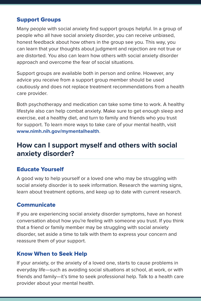#### Support Groups

Many people with social anxiety find support groups helpful. In a group of people who all have social anxiety disorder, you can receive unbiased, honest feedback about how others in the group see you. This way, you can learn that your thoughts about judgment and rejection are not true or are distorted. You also can learn how others with social anxiety disorder approach and overcome the fear of social situations.

Support groups are available both in person and online. However, any advice you receive from a support group member should be used cautiously and does not replace treatment recommendations from a health care provider.

Both psychotherapy and medication can take some time to work. A healthy lifestyle also can help combat anxiety. Make sure to get enough sleep and exercise, eat a healthy diet, and turn to family and friends who you trust for support. To learn more ways to take care of your mental health, visit **[www.nimh.nih.gov/mymentalhealth](http://www.nimh.nih.gov/mymentalhealth)**.

## **How can I support myself and others with social anxiety disorder?**

#### Educate Yourself

A good way to help yourself or a loved one who may be struggling with social anxiety disorder is to seek information. Research the warning signs, learn about treatment options, and keep up to date with current research.

#### **Communicate**

If you are experiencing social anxiety disorder symptoms, have an honest conversation about how you're feeling with someone you trust. If you think that a friend or family member may be struggling with social anxiety disorder, set aside a time to talk with them to express your concern and reassure them of your support.

#### Know When to Seek Help

If your anxiety, or the anxiety of a loved one, starts to cause problems in everyday life—such as avoiding social situations at school, at work, or with friends and family—it's time to seek professional help. Talk to a health care provider about your mental health.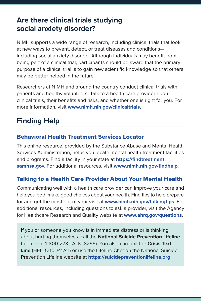## **Are there clinical trials studying social anxiety disorder?**

NIMH supports a wide range of research, including clinical trials that look at new ways to prevent, detect, or treat diseases and conditions including social anxiety disorder. Although individuals may benefit from being part of a clinical trial, participants should be aware that the primary purpose of a clinical trial is to gain new scientific knowledge so that others may be better helped in the future.

Researchers at NIMH and around the country conduct clinical trials with patients and healthy volunteers. Talk to a health care provider about clinical trials, their benefits and risks, and whether one is right for you. For more information, visit **[www.nimh.nih.gov/clinicaltrials](http://www.nimh.nih.gov/clinicaltrials)**.

# **Finding Help**

#### Behavioral Health Treatment Services Locator

This online resource, provided by the Substance Abuse and Mental Health Services Administration, helps you locate mental health treatment facilities and programs. Find a facility in your state at **[https://findtreatment.](https://findtreatment.samhsa.gov) [samhsa.gov](https://findtreatment.samhsa.gov)**. For additional resources, visit **[www.nimh.nih.gov/findhelp](http://www.nimh.nih.gov/findhelp)**.

#### Talking to a Health Care Provider About Your Mental Health

Communicating well with a health care provider can improve your care and help you both make good choices about your health. Find tips to help prepare for and get the most out of your visit at **[www.nimh.nih.gov/talkingtips](http://www.nimh.nih.gov/talkingtips)**. For additional resources, including questions to ask a provider, visit the Agency for Healthcare Research and Quality website at **[www.ahrq.gov/questions](http://www.ahrq.gov/questions)**.

If you or someone you know is in immediate distress or is thinking about hurting themselves, call the **National Suicide Prevention Lifeline** toll-free at 1-800-273-TALK (8255). You also can text the **Crisis Text Line** (HELLO to 741741) or use the Lifeline Chat on the National Suicide Prevention Lifeline website at **<https://suicidepreventionlifeline.org>**.